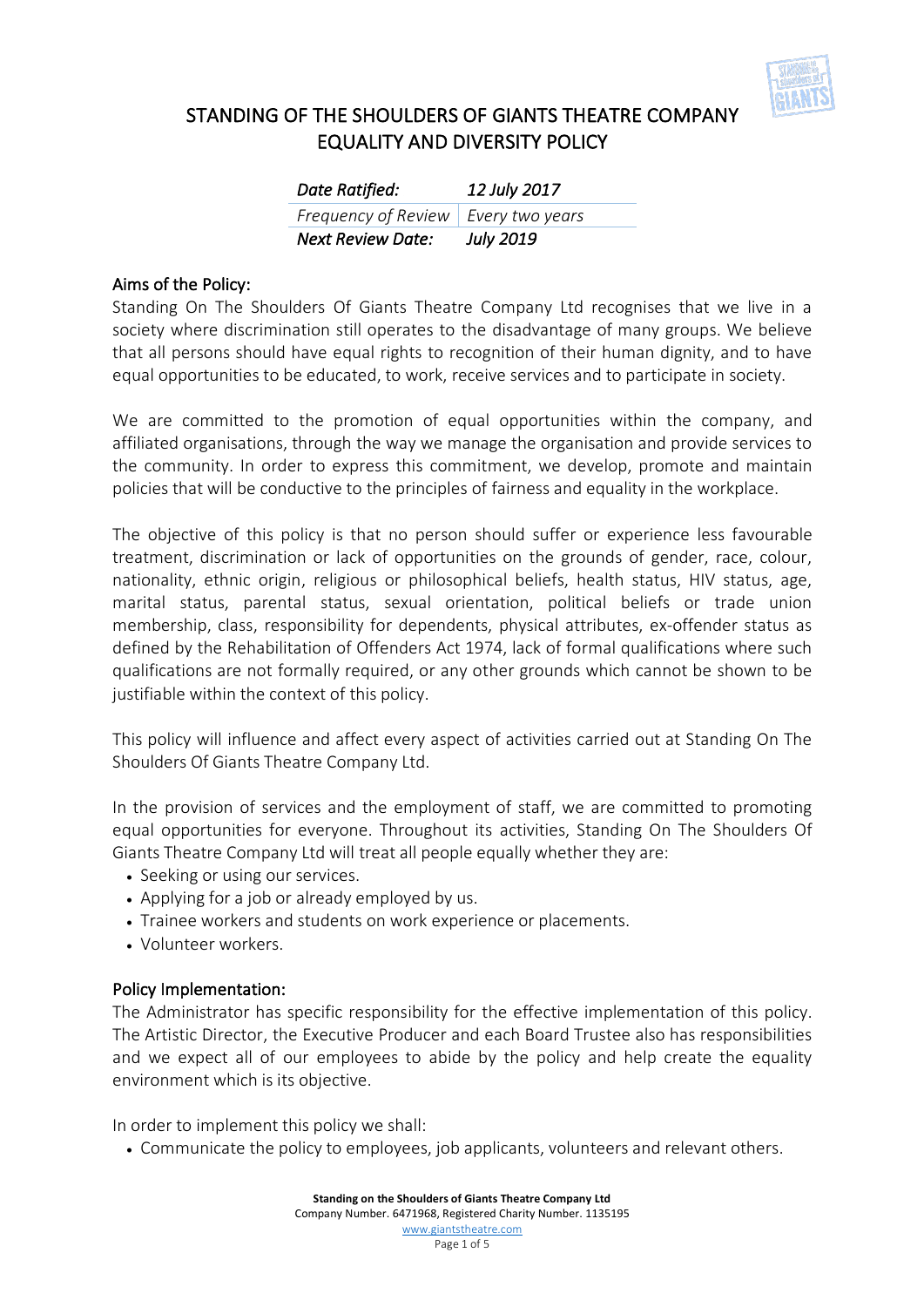

| Date Ratified:                        | 12 July 2017     |
|---------------------------------------|------------------|
| Frequency of Review   Every two years |                  |
| <b>Next Review Date:</b>              | <b>July 2019</b> |

#### Aims of the Policy:

Standing On The Shoulders Of Giants Theatre Company Ltd recognises that we live in a society where discrimination still operates to the disadvantage of many groups. We believe that all persons should have equal rights to recognition of their human dignity, and to have equal opportunities to be educated, to work, receive services and to participate in society.

We are committed to the promotion of equal opportunities within the company, and affiliated organisations, through the way we manage the organisation and provide services to the community. In order to express this commitment, we develop, promote and maintain policies that will be conductive to the principles of fairness and equality in the workplace.

The objective of this policy is that no person should suffer or experience less favourable treatment, discrimination or lack of opportunities on the grounds of gender, race, colour, nationality, ethnic origin, religious or philosophical beliefs, health status, HIV status, age, marital status, parental status, sexual orientation, political beliefs or trade union membership, class, responsibility for dependents, physical attributes, ex-offender status as defined by the Rehabilitation of Offenders Act 1974, lack of formal qualifications where such qualifications are not formally required, or any other grounds which cannot be shown to be justifiable within the context of this policy.

This policy will influence and affect every aspect of activities carried out at Standing On The Shoulders Of Giants Theatre Company Ltd.

In the provision of services and the employment of staff, we are committed to promoting equal opportunities for everyone. Throughout its activities, Standing On The Shoulders Of Giants Theatre Company Ltd will treat all people equally whether they are:

- Seeking or using our services.
- Applying for a job or already employed by us.
- Trainee workers and students on work experience or placements.
- Volunteer workers.

#### Policy Implementation:

The Administrator has specific responsibility for the effective implementation of this policy. The Artistic Director, the Executive Producer and each Board Trustee also has responsibilities and we expect all of our employees to abide by the policy and help create the equality environment which is its objective.

In order to implement this policy we shall:

• Communicate the policy to employees, job applicants, volunteers and relevant others.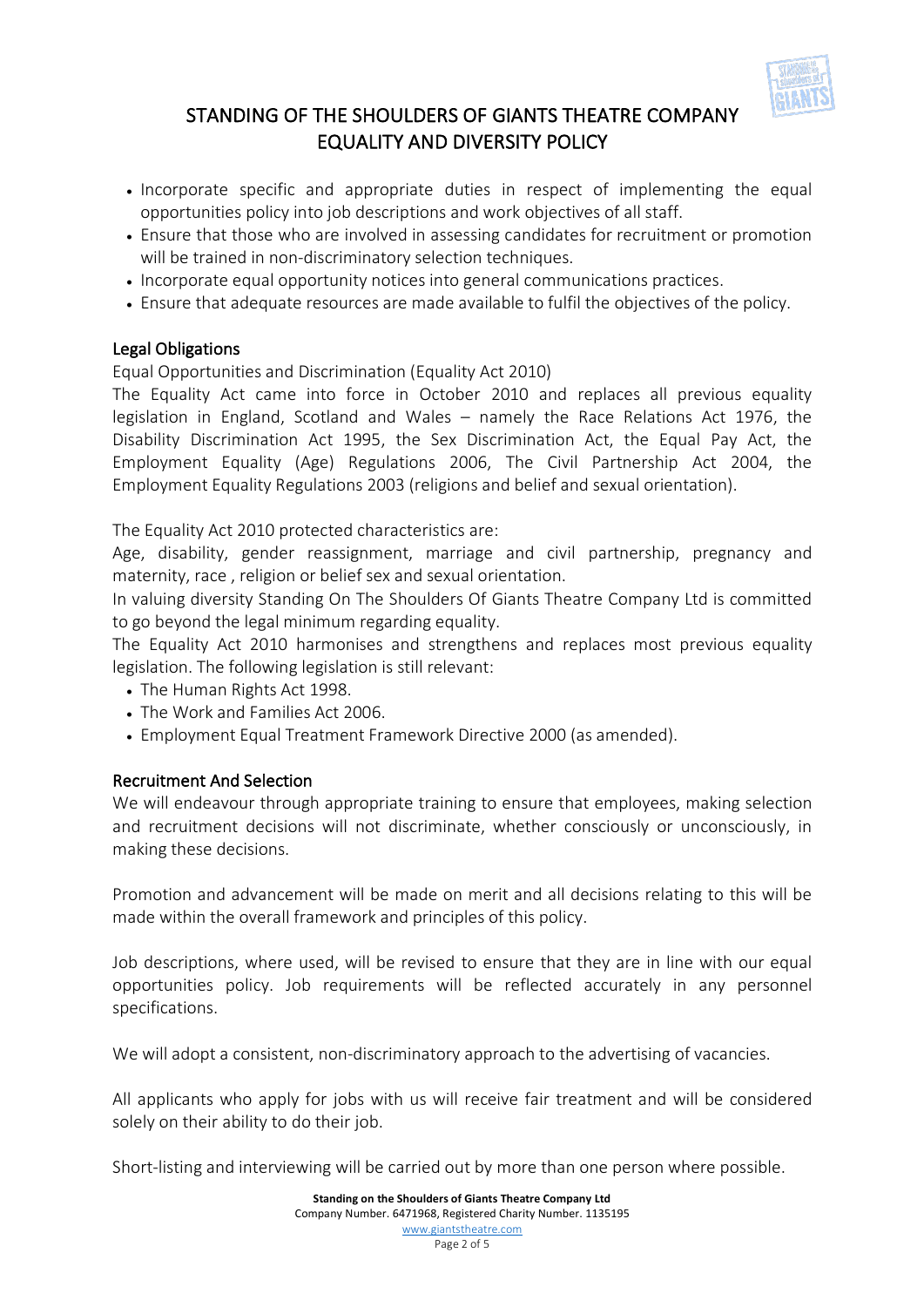

- Incorporate specific and appropriate duties in respect of implementing the equal opportunities policy into job descriptions and work objectives of all staff.
- Ensure that those who are involved in assessing candidates for recruitment or promotion will be trained in non-discriminatory selection techniques.
- Incorporate equal opportunity notices into general communications practices.
- Ensure that adequate resources are made available to fulfil the objectives of the policy.

## Legal Obligations

Equal Opportunities and Discrimination (Equality Act 2010)

The Equality Act came into force in October 2010 and replaces all previous equality legislation in England, Scotland and Wales – namely the Race Relations Act 1976, the Disability Discrimination Act 1995, the Sex Discrimination Act, the Equal Pay Act, the Employment Equality (Age) Regulations 2006, The Civil Partnership Act 2004, the Employment Equality Regulations 2003 (religions and belief and sexual orientation).

The Equality Act 2010 protected characteristics are:

Age, disability, gender reassignment, marriage and civil partnership, pregnancy and maternity, race , religion or belief sex and sexual orientation.

In valuing diversity Standing On The Shoulders Of Giants Theatre Company Ltd is committed to go beyond the legal minimum regarding equality.

The Equality Act 2010 harmonises and strengthens and replaces most previous equality legislation. The following legislation is still relevant:

- The Human Rights Act 1998.
- The Work and Families Act 2006.
- Employment Equal Treatment Framework Directive 2000 (as amended).

## Recruitment And Selection

We will endeavour through appropriate training to ensure that employees, making selection and recruitment decisions will not discriminate, whether consciously or unconsciously, in making these decisions.

Promotion and advancement will be made on merit and all decisions relating to this will be made within the overall framework and principles of this policy.

Job descriptions, where used, will be revised to ensure that they are in line with our equal opportunities policy. Job requirements will be reflected accurately in any personnel specifications.

We will adopt a consistent, non-discriminatory approach to the advertising of vacancies.

All applicants who apply for jobs with us will receive fair treatment and will be considered solely on their ability to do their job.

Short-listing and interviewing will be carried out by more than one person where possible.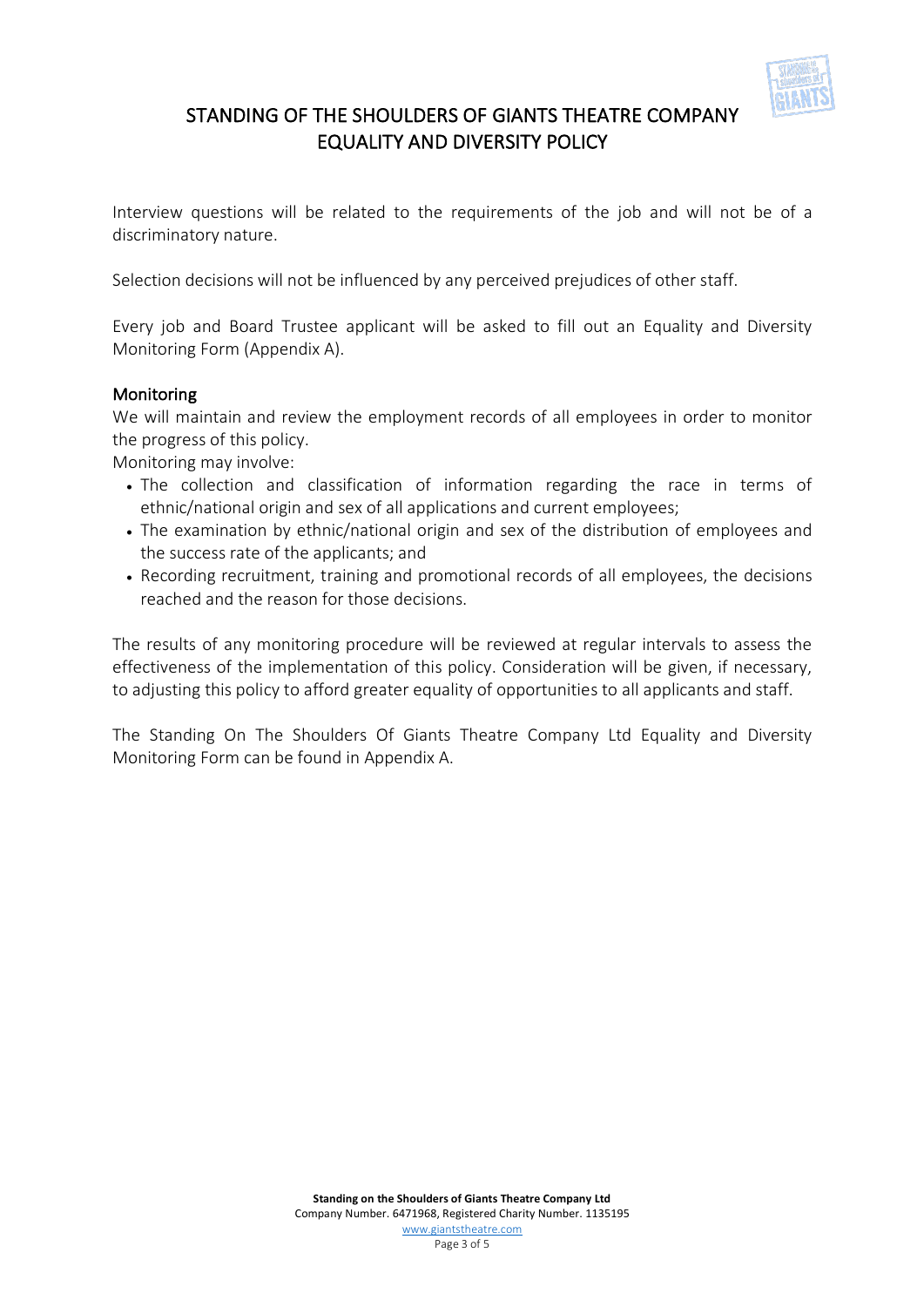

Interview questions will be related to the requirements of the job and will not be of a discriminatory nature.

Selection decisions will not be influenced by any perceived prejudices of other staff.

Every job and Board Trustee applicant will be asked to fill out an Equality and Diversity Monitoring Form (Appendix A).

### Monitoring

We will maintain and review the employment records of all employees in order to monitor the progress of this policy.

Monitoring may involve:

- The collection and classification of information regarding the race in terms of ethnic/national origin and sex of all applications and current employees;
- The examination by ethnic/national origin and sex of the distribution of employees and the success rate of the applicants; and
- Recording recruitment, training and promotional records of all employees, the decisions reached and the reason for those decisions.

The results of any monitoring procedure will be reviewed at regular intervals to assess the effectiveness of the implementation of this policy. Consideration will be given, if necessary, to adjusting this policy to afford greater equality of opportunities to all applicants and staff.

The Standing On The Shoulders Of Giants Theatre Company Ltd Equality and Diversity Monitoring Form can be found in Appendix A.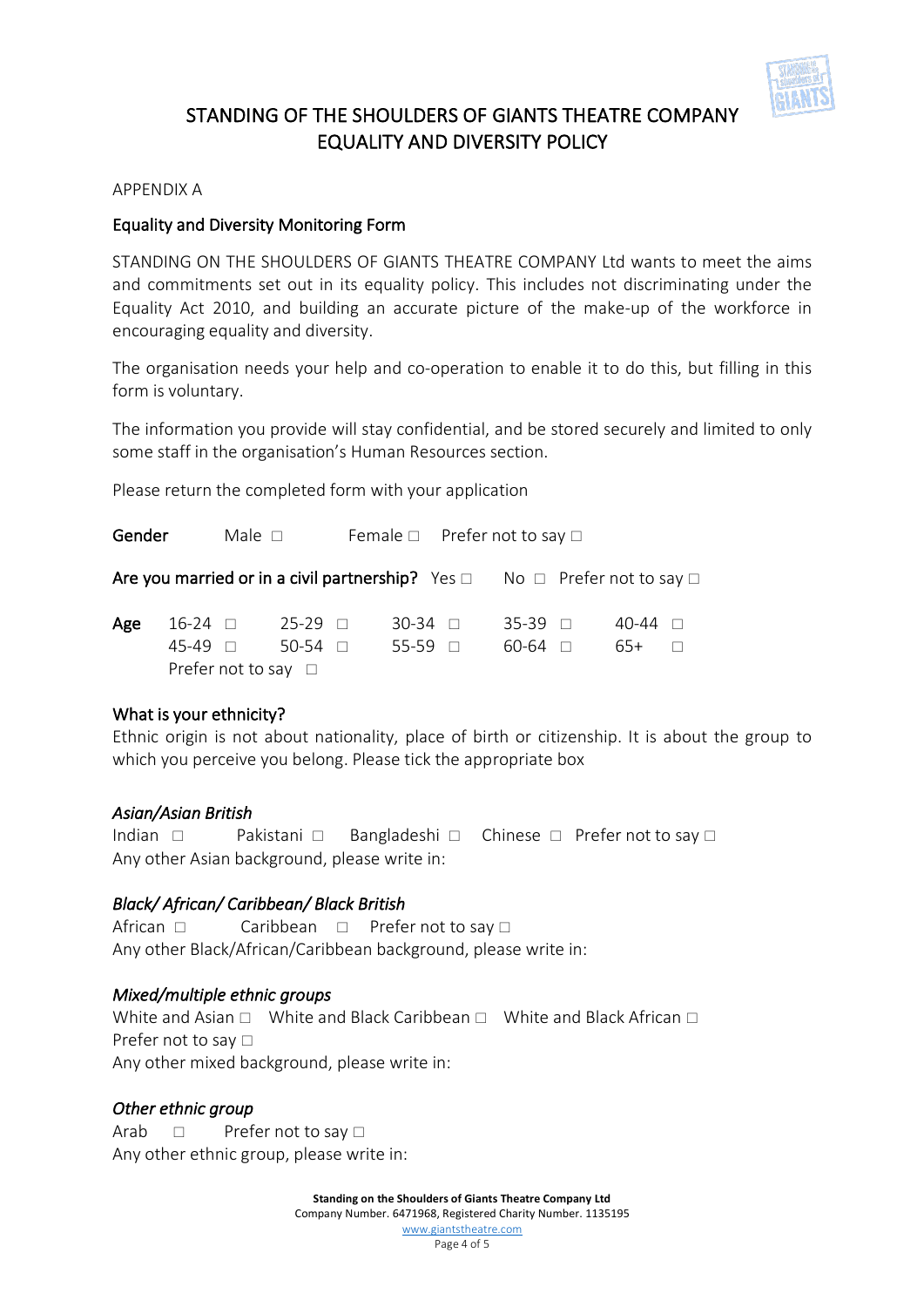

#### APPENDIX A

#### Equality and Diversity Monitoring Form

STANDING ON THE SHOULDERS OF GIANTS THEATRE COMPANY Ltd wants to meet the aims and commitments set out in its equality policy. This includes not discriminating under the Equality Act 2010, and building an accurate picture of the make-up of the workforce in encouraging equality and diversity.

The organisation needs your help and co-operation to enable it to do this, but filling in this form is voluntary.

The information you provide will stay confidential, and be stored securely and limited to only some staff in the organisation's Human Resources section.

Please return the completed form with your application

Gender Male  $\Box$  Female  $\Box$  Prefer not to say  $\Box$ Are you married or in a civil partnership? Yes  $\Box$  No  $\Box$  Prefer not to say  $\Box$ **Age** 16-24  $\Box$  25-29  $\Box$  30-34  $\Box$  35-39  $\Box$  40-44  $\Box$  $45-49$   $\Box$  50-54  $\Box$  55-59  $\Box$  60-64  $\Box$  65+  $\Box$ Prefer not to say  $\Box$ 

#### What is your ethnicity?

Ethnic origin is not about nationality, place of birth or citizenship. It is about the group to which you perceive you belong. Please tick the appropriate box

#### *Asian/Asian British*

Indian  $\Box$  Pakistani  $\Box$  Bangladeshi  $\Box$  Chinese  $\Box$  Prefer not to say  $\Box$ Any other Asian background, please write in:

#### *Black/ African/ Caribbean/ Black British*

African  $\Box$  Caribbean  $\Box$  Prefer not to say  $\Box$ Any other Black/African/Caribbean background, please write in:

#### *Mixed/multiple ethnic groups*

White and Asian  $\Box$  White and Black Caribbean  $\Box$  White and Black African  $\Box$ Prefer not to say  $\Box$ Any other mixed background, please write in:

#### *Other ethnic group*

Arab  $\Box$  Prefer not to say  $\Box$ Any other ethnic group, please write in:

> **Standing on the Shoulders of Giants Theatre Company Ltd** Company Number. 6471968, Registered Charity Number. 1135195 www.giantstheatre.com Page 4 of 5